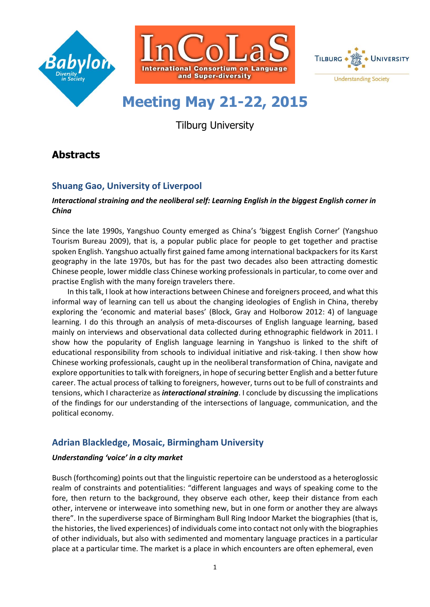





# **Meeting May 21-22, 2015**

Tilburg University

# **Abstracts**

# **Shuang Gao, University of Liverpool**

#### *Interactional straining and the neoliberal self: Learning English in the biggest English corner in China*

Since the late 1990s, Yangshuo County emerged as China's 'biggest English Corner' (Yangshuo Tourism Bureau 2009), that is, a popular public place for people to get together and practise spoken English. Yangshuo actually first gained fame among international backpackers for its Karst geography in the late 1970s, but has for the past two decades also been attracting domestic Chinese people, lower middle class Chinese working professionals in particular, to come over and practise English with the many foreign travelers there.

In this talk, I look at how interactions between Chinese and foreigners proceed, and what this informal way of learning can tell us about the changing ideologies of English in China, thereby exploring the 'economic and material bases' (Block, Gray and Holborow 2012: 4) of language learning. I do this through an analysis of meta-discourses of English language learning, based mainly on interviews and observational data collected during ethnographic fieldwork in 2011. I show how the popularity of English language learning in Yangshuo is linked to the shift of educational responsibility from schools to individual initiative and risk-taking. I then show how Chinese working professionals, caught up in the neoliberal transformation of China, navigate and explore opportunities to talk with foreigners, in hope of securing better English and a better future career. The actual process of talking to foreigners, however, turns out to be full of constraints and tensions, which I characterize as *interactional straining*. I conclude by discussing the implications of the findings for our understanding of the intersections of language, communication, and the political economy.

## **Adrian Blackledge, Mosaic, Birmingham University**

### *Understanding 'voice' in a city market*

Busch (forthcoming) points out that the linguistic repertoire can be understood as a heteroglossic realm of constraints and potentialities: "different languages and ways of speaking come to the fore, then return to the background, they observe each other, keep their distance from each other, intervene or interweave into something new, but in one form or another they are always there". In the superdiverse space of Birmingham Bull Ring Indoor Market the biographies (that is, the histories, the lived experiences) of individuals come into contact not only with the biographies of other individuals, but also with sedimented and momentary language practices in a particular place at a particular time. The market is a place in which encounters are often ephemeral, even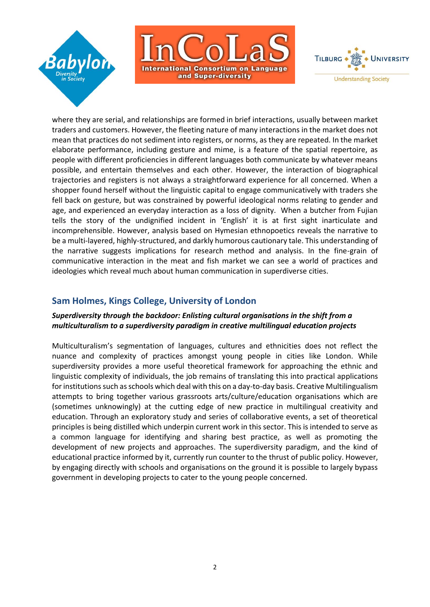





where they are serial, and relationships are formed in brief interactions, usually between market traders and customers. However, the fleeting nature of many interactions in the market does not mean that practices do not sediment into registers, or norms, as they are repeated. In the market elaborate performance, including gesture and mime, is a feature of the spatial repertoire, as people with different proficiencies in different languages both communicate by whatever means possible, and entertain themselves and each other. However, the interaction of biographical trajectories and registers is not always a straightforward experience for all concerned. When a shopper found herself without the linguistic capital to engage communicatively with traders she fell back on gesture, but was constrained by powerful ideological norms relating to gender and age, and experienced an everyday interaction as a loss of dignity. When a butcher from Fujian tells the story of the undignified incident in 'English' it is at first sight inarticulate and incomprehensible. However, analysis based on Hymesian ethnopoetics reveals the narrative to be a multi-layered, highly-structured, and darkly humorous cautionary tale. This understanding of the narrative suggests implications for research method and analysis. In the fine-grain of communicative interaction in the meat and fish market we can see a world of practices and ideologies which reveal much about human communication in superdiverse cities.

## **Sam Holmes, Kings College, University of London**

### *Superdiversity through the backdoor: Enlisting cultural organisations in the shift from a multiculturalism to a superdiversity paradigm in creative multilingual education projects*

Multiculturalism's segmentation of languages, cultures and ethnicities does not reflect the nuance and complexity of practices amongst young people in cities like London. While superdiversity provides a more useful theoretical framework for approaching the ethnic and linguistic complexity of individuals, the job remains of translating this into practical applications for institutions such as schools which deal with this on a day-to-day basis. Creative Multilingualism attempts to bring together various grassroots arts/culture/education organisations which are (sometimes unknowingly) at the cutting edge of new practice in multilingual creativity and education. Through an exploratory study and series of collaborative events, a set of theoretical principles is being distilled which underpin current work in this sector. This is intended to serve as a common language for identifying and sharing best practice, as well as promoting the development of new projects and approaches. The superdiversity paradigm, and the kind of educational practice informed by it, currently run counter to the thrust of public policy. However, by engaging directly with schools and organisations on the ground it is possible to largely bypass government in developing projects to cater to the young people concerned.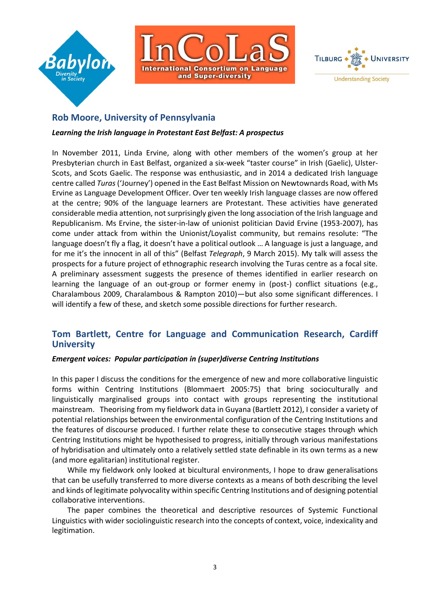





## **Rob Moore, University of Pennsylvania**

#### *Learning the Irish language in Protestant East Belfast: A prospectus*

In November 2011, Linda Ervine, along with other members of the women's group at her Presbyterian church in East Belfast, organized a six-week "taster course" in Irish (Gaelic), Ulster-Scots, and Scots Gaelic. The response was enthusiastic, and in 2014 a dedicated Irish language centre called *Turas*('Journey') opened in the East Belfast Mission on Newtownards Road, with Ms Ervine as Language Development Officer. Over ten weekly Irish language classes are now offered at the centre; 90% of the language learners are Protestant. These activities have generated considerable media attention, not surprisingly given the long association of the Irish language and Republicanism. Ms Ervine, the sister-in-law of unionist politician David Ervine (1953-2007), has come under attack from within the Unionist/Loyalist community, but remains resolute: "The language doesn't fly a flag, it doesn't have a political outlook ... A language is just a language, and for me it's the innocent in all of this" (Belfast *Telegraph*, 9 March 2015). My talk will assess the prospects for a future project of ethnographic research involving the Turas centre as a focal site. A preliminary assessment suggests the presence of themes identified in earlier research on learning the language of an out-group or former enemy in (post-) conflict situations (e.g., Charalambous 2009, Charalambous & Rampton 2010)—but also some significant differences. I will identify a few of these, and sketch some possible directions for further research.

## **Tom Bartlett, Centre for Language and Communication Research, Cardiff University**

#### *Emergent voices: Popular participation in (super)diverse Centring Institutions*

In this paper I discuss the conditions for the emergence of new and more collaborative linguistic forms within Centring Institutions (Blommaert 2005:75) that bring socioculturally and linguistically marginalised groups into contact with groups representing the institutional mainstream. Theorising from my fieldwork data in Guyana (Bartlett 2012), I consider a variety of potential relationships between the environmental configuration of the Centring Institutions and the features of discourse produced. I further relate these to consecutive stages through which Centring Institutions might be hypothesised to progress, initially through various manifestations of hybridisation and ultimately onto a relatively settled state definable in its own terms as a new (and more egalitarian) institutional register.

While my fieldwork only looked at bicultural environments, I hope to draw generalisations that can be usefully transferred to more diverse contexts as a means of both describing the level and kinds of legitimate polyvocality within specific Centring Institutions and of designing potential collaborative interventions.

The paper combines the theoretical and descriptive resources of Systemic Functional Linguistics with wider sociolinguistic research into the concepts of context, voice, indexicality and legitimation.